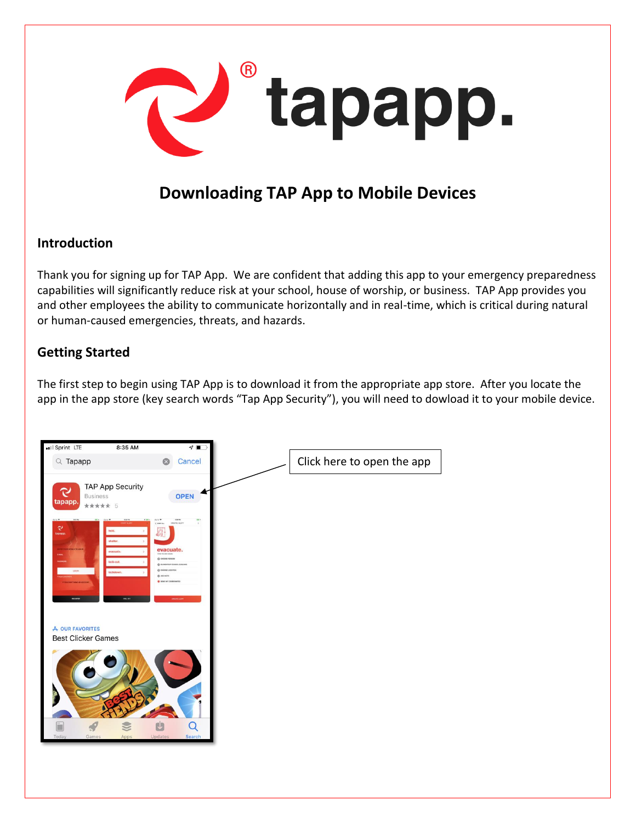

# **Downloading TAP App to Mobile Devices**

## **Introduction**

Thank you for signing up for TAP App. We are confident that adding this app to your emergency preparedness capabilities will significantly reduce risk at your school, house of worship, or business. TAP App provides you and other employees the ability to communicate horizontally and in real-time, which is critical during natural or human-caused emergencies, threats, and hazards.

# **Getting Started**

The first step to begin using TAP App is to download it from the appropriate app store. After you locate the app in the app store (key search words "Tap App Security"), you will need to dowload it to your mobile device.

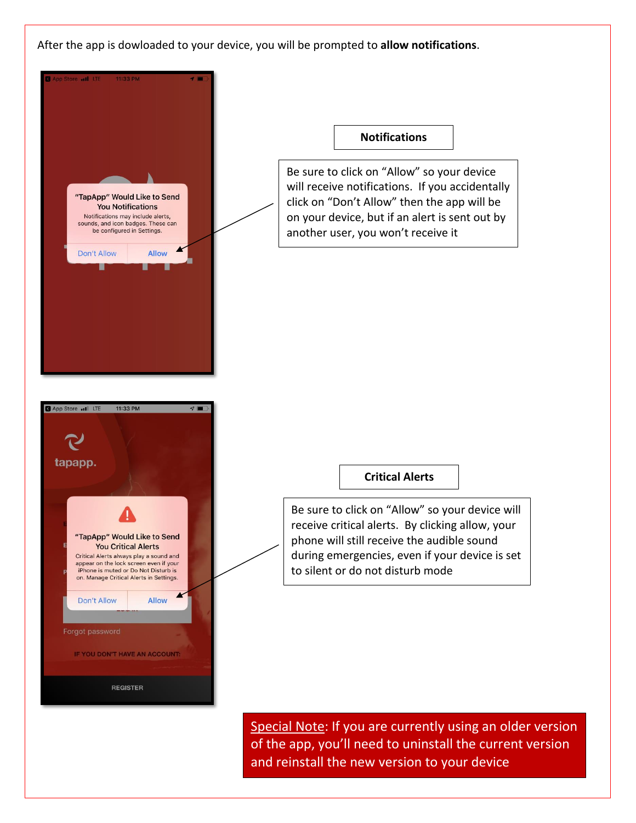After the app is dowloaded to your device, you will be prompted to **allow notifications**.



Special Note: If you are currently using an older version of the app, you'll need to uninstall the current version and reinstall the new version to your device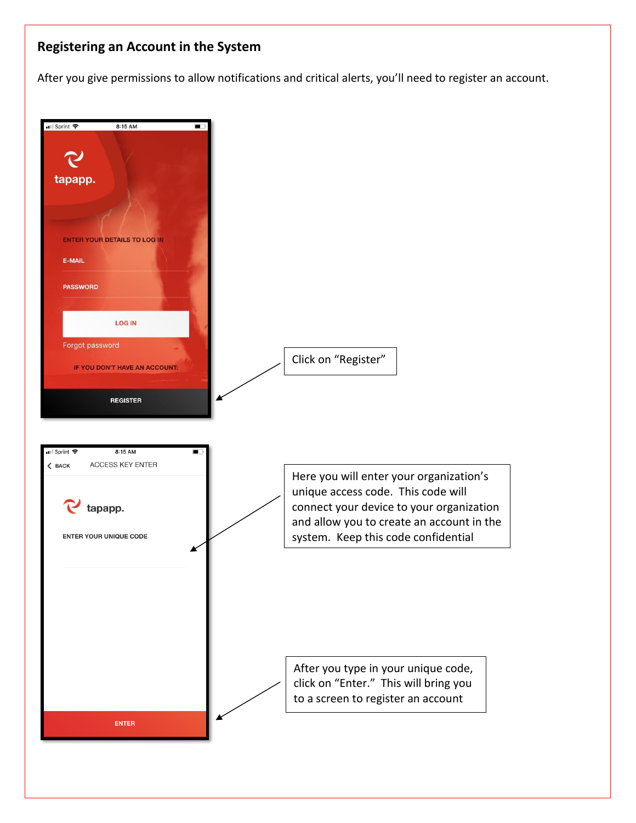# **Registering an Account in the System**

After you give permissions to allow notifications and critical alerts, you'll need to register an account.

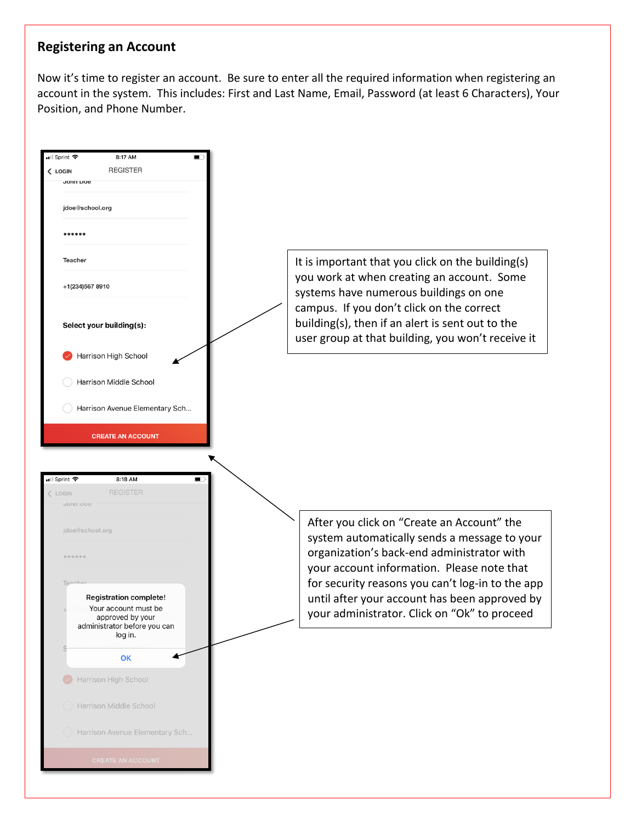#### **Registering an Account**

Now it's time to register an account. Be sure to enter all the required information when registering an account in the system. This includes: First and Last Name, Email, Password (at least 6 Characters), Your Position, and Phone Number.

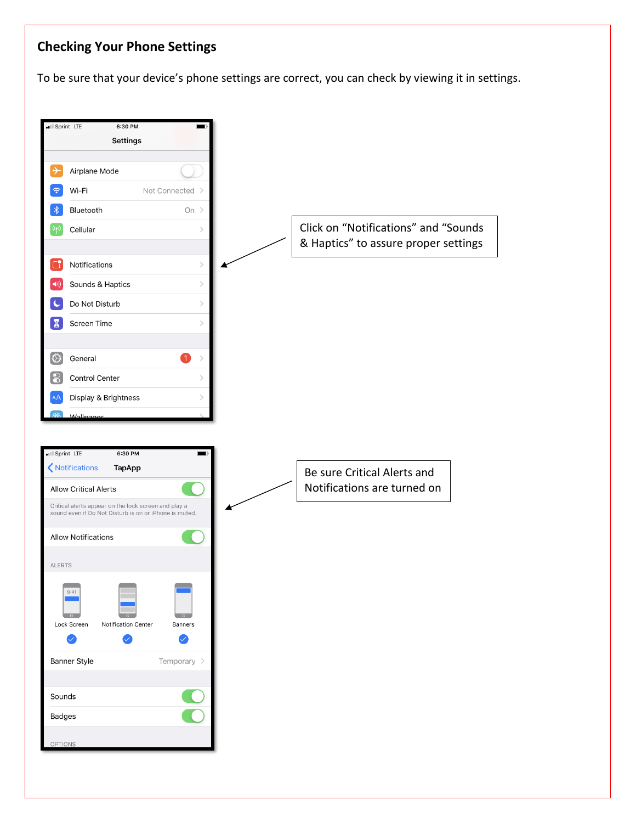# **Checking Your Phone Settings**

To be sure that your device's phone settings are correct, you can check by viewing it in settings.

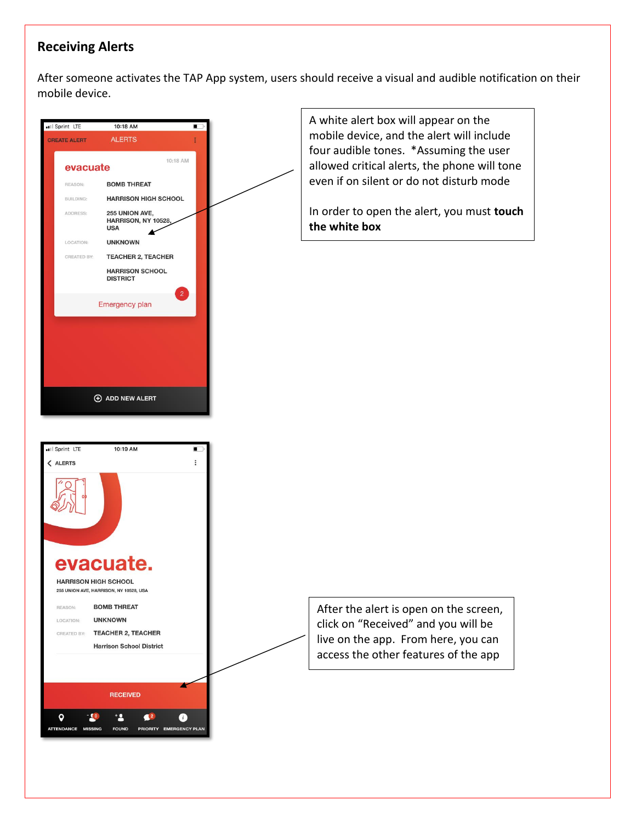# **Receiving Alerts**

After someone activates the TAP App system, users should receive a visual and audible notification on their mobile device.